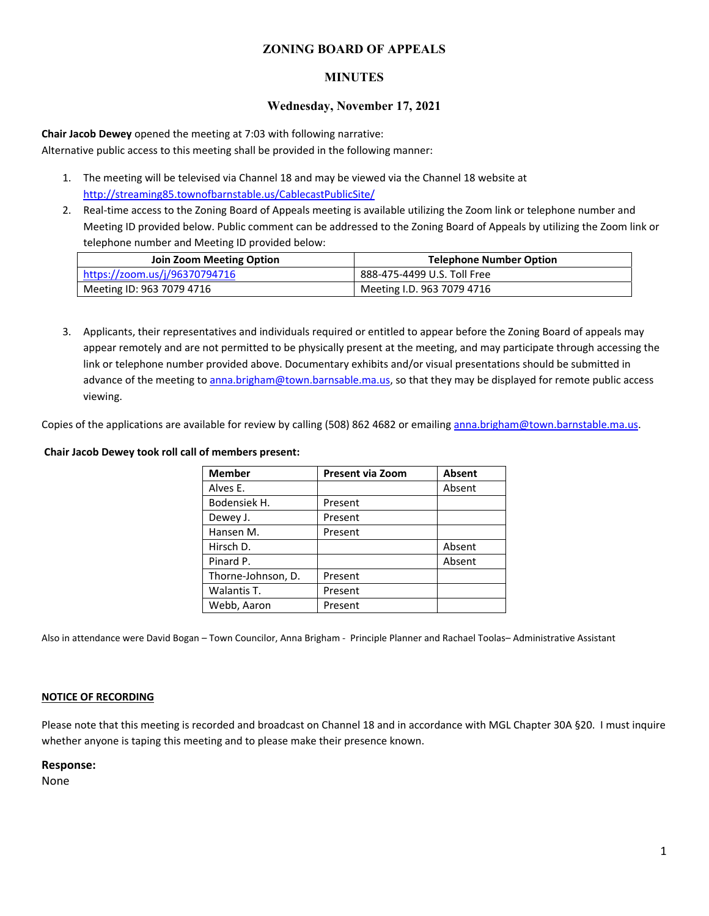## **ZONING BOARD OF APPEALS**

## **MINUTES**

## **Wednesday, November 17, 2021**

**Chair Jacob Dewey** opened the meeting at 7:03 with following narrative: Alternative public access to this meeting shall be provided in the following manner:

- 1. The meeting will be televised via Channel 18 and may be viewed via the Channel 18 website at http://streaming85.townofbarnstable.us/CablecastPublicSite/
- 2. Real-time access to the Zoning Board of Appeals meeting is available utilizing the Zoom link or telephone number and Meeting ID provided below. Public comment can be addressed to the Zoning Board of Appeals by utilizing the Zoom link or telephone number and Meeting ID provided below:

| <b>Join Zoom Meeting Option</b> | <b>Telephone Number Option</b> |  |
|---------------------------------|--------------------------------|--|
| https://zoom.us/j/96370794716   | 888-475-4499 U.S. Toll Free    |  |
| Meeting ID: 963 7079 4716       | Meeting I.D. 963 7079 4716     |  |

3. Applicants, their representatives and individuals required or entitled to appear before the Zoning Board of appeals may appear remotely and are not permitted to be physically present at the meeting, and may participate through accessing the link or telephone number provided above. Documentary exhibits and/or visual presentations should be submitted in advance of the meeting to anna.brigham@town.barnsable.ma.us, so that they may be displayed for remote public access viewing.

Copies of the applications are available for review by calling (508) 862 4682 or emailing anna.brigham@town.barnstable.ma.us.

## **Chair Jacob Dewey took roll call of members present:**

| <b>Member</b>      | Present via Zoom | Absent |
|--------------------|------------------|--------|
| Alves E.           |                  | Absent |
| Bodensiek H.       | Present          |        |
| Dewey J.           | Present          |        |
| Hansen M.          | Present          |        |
| Hirsch D.          |                  | Absent |
| Pinard P.          |                  | Absent |
| Thorne-Johnson, D. | Present          |        |
| Walantis T.        | Present          |        |
| Webb, Aaron        | Present          |        |

Also in attendance were David Bogan – Town Councilor, Anna Brigham - Principle Planner and Rachael Toolas– Administrative Assistant

### **NOTICE OF RECORDING**

Please note that this meeting is recorded and broadcast on Channel 18 and in accordance with MGL Chapter 30A §20. I must inquire whether anyone is taping this meeting and to please make their presence known.

### **Response:**

None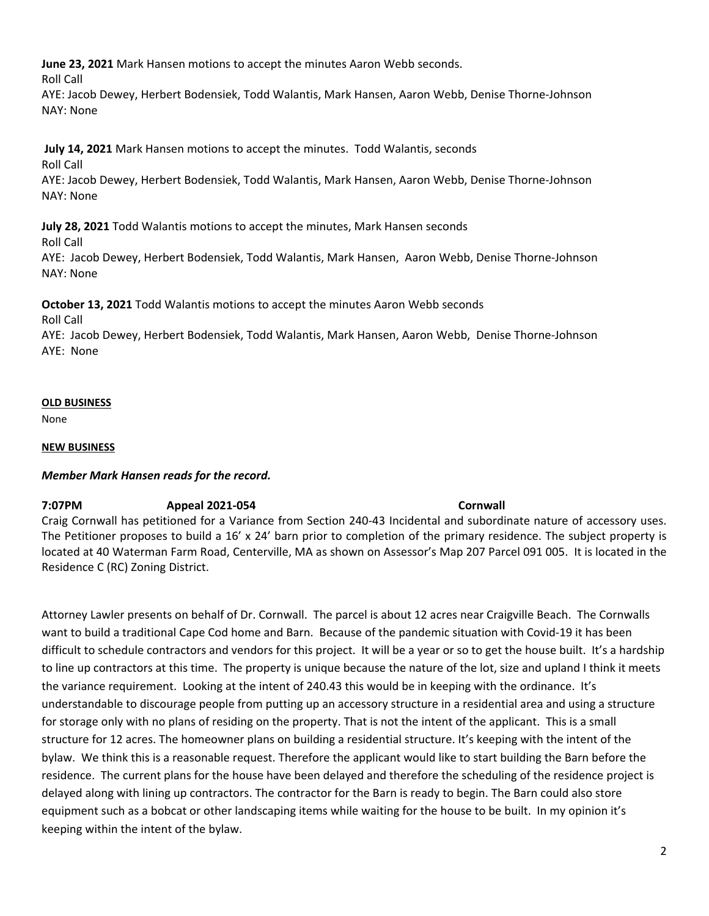**June 23, 2021** Mark Hansen motions to accept the minutes Aaron Webb seconds.

Roll Call

AYE: Jacob Dewey, Herbert Bodensiek, Todd Walantis, Mark Hansen, Aaron Webb, Denise Thorne-Johnson NAY: None

# **July 14, 2021** Mark Hansen motions to accept the minutes. Todd Walantis, seconds

Roll Call

AYE: Jacob Dewey, Herbert Bodensiek, Todd Walantis, Mark Hansen, Aaron Webb, Denise Thorne-Johnson NAY: None

# **July 28, 2021** Todd Walantis motions to accept the minutes, Mark Hansen seconds

Roll Call

AYE: Jacob Dewey, Herbert Bodensiek, Todd Walantis, Mark Hansen, Aaron Webb, Denise Thorne-Johnson NAY: None

**October 13, 2021** Todd Walantis motions to accept the minutes Aaron Webb seconds

Roll Call

AYE: Jacob Dewey, Herbert Bodensiek, Todd Walantis, Mark Hansen, Aaron Webb, Denise Thorne-Johnson AYE: None

# **OLD BUSINESS**

None

# **NEW BUSINESS**

# *Member Mark Hansen reads for the record.*

# **7:07PM Appeal 2021-054 Cornwall**

Craig Cornwall has petitioned for a Variance from Section 240-43 Incidental and subordinate nature of accessory uses. The Petitioner proposes to build a 16' x 24' barn prior to completion of the primary residence. The subject property is located at 40 Waterman Farm Road, Centerville, MA as shown on Assessor's Map 207 Parcel 091 005. It is located in the Residence C (RC) Zoning District.

Attorney Lawler presents on behalf of Dr. Cornwall. The parcel is about 12 acres near Craigville Beach. The Cornwalls want to build a traditional Cape Cod home and Barn. Because of the pandemic situation with Covid-19 it has been difficult to schedule contractors and vendors for this project. It will be a year or so to get the house built. It's a hardship to line up contractors at this time. The property is unique because the nature of the lot, size and upland I think it meets the variance requirement. Looking at the intent of 240.43 this would be in keeping with the ordinance. It's understandable to discourage people from putting up an accessory structure in a residential area and using a structure for storage only with no plans of residing on the property. That is not the intent of the applicant. This is a small structure for 12 acres. The homeowner plans on building a residential structure. It's keeping with the intent of the bylaw. We think this is a reasonable request. Therefore the applicant would like to start building the Barn before the residence. The current plans for the house have been delayed and therefore the scheduling of the residence project is delayed along with lining up contractors. The contractor for the Barn is ready to begin. The Barn could also store equipment such as a bobcat or other landscaping items while waiting for the house to be built. In my opinion it's keeping within the intent of the bylaw.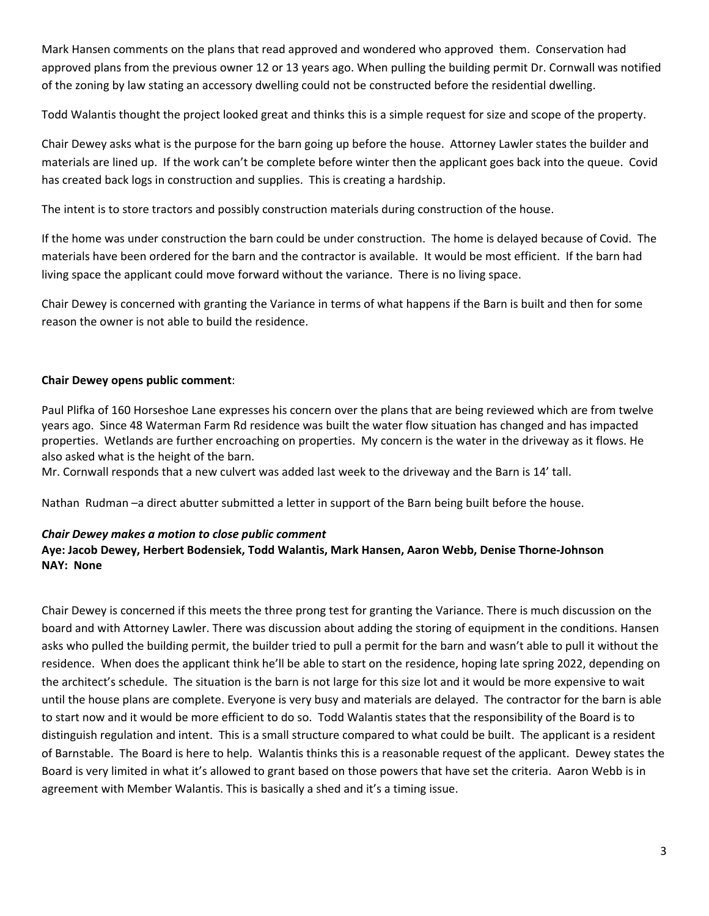Mark Hansen comments on the plans that read approved and wondered who approved them. Conservation had approved plans from the previous owner 12 or 13 years ago. When pulling the building permit Dr. Cornwall was notified of the zoning by law stating an accessory dwelling could not be constructed before the residential dwelling.

Todd Walantis thought the project looked great and thinks this is a simple request for size and scope of the property.

Chair Dewey asks what is the purpose for the barn going up before the house. Attorney Lawler states the builder and materials are lined up. If the work can't be complete before winter then the applicant goes back into the queue. Covid has created back logs in construction and supplies. This is creating a hardship.

The intent is to store tractors and possibly construction materials during construction of the house.

If the home was under construction the barn could be under construction. The home is delayed because of Covid. The materials have been ordered for the barn and the contractor is available. It would be most efficient. If the barn had living space the applicant could move forward without the variance. There is no living space.

Chair Dewey is concerned with granting the Variance in terms of what happens if the Barn is built and then for some reason the owner is not able to build the residence.

## **Chair Dewey opens public comment**:

Paul Plifka of 160 Horseshoe Lane expresses his concern over the plans that are being reviewed which are from twelve years ago. Since 48 Waterman Farm Rd residence was built the water flow situation has changed and has impacted properties. Wetlands are further encroaching on properties. My concern is the water in the driveway as it flows. He also asked what is the height of the barn.

Mr. Cornwall responds that a new culvert was added last week to the driveway and the Barn is 14' tall.

Nathan Rudman –a direct abutter submitted a letter in support of the Barn being built before the house.

## *Chair Dewey makes a motion to close public comment*

# **Aye: Jacob Dewey, Herbert Bodensiek, Todd Walantis, Mark Hansen, Aaron Webb, Denise Thorne-Johnson NAY: None**

Chair Dewey is concerned if this meets the three prong test for granting the Variance. There is much discussion on the board and with Attorney Lawler. There was discussion about adding the storing of equipment in the conditions. Hansen asks who pulled the building permit, the builder tried to pull a permit for the barn and wasn't able to pull it without the residence. When does the applicant think he'll be able to start on the residence, hoping late spring 2022, depending on the architect's schedule. The situation is the barn is not large for this size lot and it would be more expensive to wait until the house plans are complete. Everyone is very busy and materials are delayed. The contractor for the barn is able to start now and it would be more efficient to do so. Todd Walantis states that the responsibility of the Board is to distinguish regulation and intent. This is a small structure compared to what could be built. The applicant is a resident of Barnstable. The Board is here to help. Walantis thinks this is a reasonable request of the applicant. Dewey states the Board is very limited in what it's allowed to grant based on those powers that have set the criteria. Aaron Webb is in agreement with Member Walantis. This is basically a shed and it's a timing issue.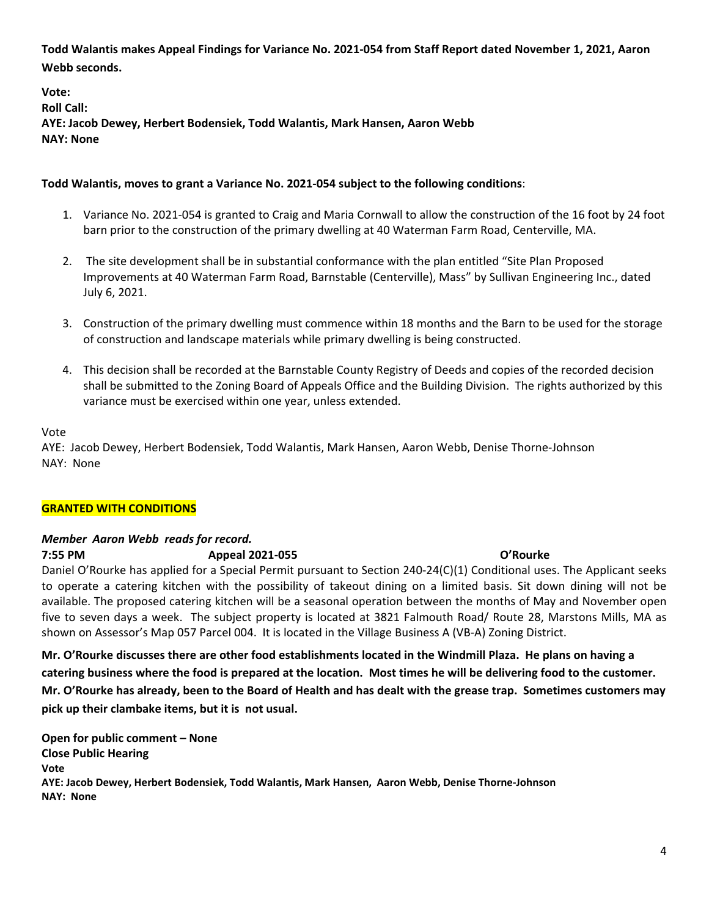**Todd Walantis makes Appeal Findings for Variance No. 2021-054 from Staff Report dated November 1, 2021, Aaron Webb seconds.** 

**Vote: Roll Call: AYE: Jacob Dewey, Herbert Bodensiek, Todd Walantis, Mark Hansen, Aaron Webb NAY: None** 

## **Todd Walantis, moves to grant a Variance No. 2021-054 subject to the following conditions**:

- 1. Variance No. 2021-054 is granted to Craig and Maria Cornwall to allow the construction of the 16 foot by 24 foot barn prior to the construction of the primary dwelling at 40 Waterman Farm Road, Centerville, MA.
- 2. The site development shall be in substantial conformance with the plan entitled "Site Plan Proposed Improvements at 40 Waterman Farm Road, Barnstable (Centerville), Mass" by Sullivan Engineering Inc., dated July 6, 2021.
- 3. Construction of the primary dwelling must commence within 18 months and the Barn to be used for the storage of construction and landscape materials while primary dwelling is being constructed.
- 4. This decision shall be recorded at the Barnstable County Registry of Deeds and copies of the recorded decision shall be submitted to the Zoning Board of Appeals Office and the Building Division. The rights authorized by this variance must be exercised within one year, unless extended.

## Vote

AYE: Jacob Dewey, Herbert Bodensiek, Todd Walantis, Mark Hansen, Aaron Webb, Denise Thorne-Johnson NAY: None

## **GRANTED WITH CONDITIONS**

# *Member Aaron Webb reads for record.*

**7:55 PM Appeal 2021-055 O'Rourke**

Daniel O'Rourke has applied for a Special Permit pursuant to Section 240-24(C)(1) Conditional uses. The Applicant seeks to operate a catering kitchen with the possibility of takeout dining on a limited basis. Sit down dining will not be available. The proposed catering kitchen will be a seasonal operation between the months of May and November open five to seven days a week. The subject property is located at 3821 Falmouth Road/ Route 28, Marstons Mills, MA as shown on Assessor's Map 057 Parcel 004. It is located in the Village Business A (VB-A) Zoning District.

**Mr. O'Rourke discusses there are other food establishments located in the Windmill Plaza. He plans on having a catering business where the food is prepared at the location. Most times he will be delivering food to the customer. Mr. O'Rourke has already, been to the Board of Health and has dealt with the grease trap. Sometimes customers may pick up their clambake items, but it is not usual.** 

**Open for public comment – None Close Public Hearing Vote AYE: Jacob Dewey, Herbert Bodensiek, Todd Walantis, Mark Hansen, Aaron Webb, Denise Thorne-Johnson NAY: None**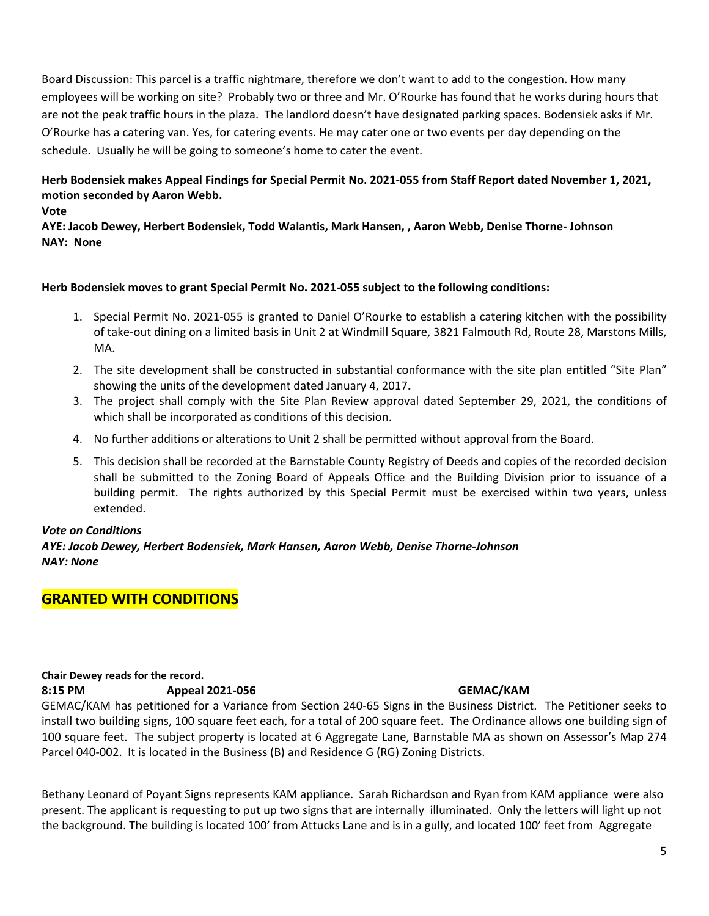Board Discussion: This parcel is a traffic nightmare, therefore we don't want to add to the congestion. How many employees will be working on site? Probably two or three and Mr. O'Rourke has found that he works during hours that are not the peak traffic hours in the plaza. The landlord doesn't have designated parking spaces. Bodensiek asks if Mr. O'Rourke has a catering van. Yes, for catering events. He may cater one or two events per day depending on the schedule. Usually he will be going to someone's home to cater the event.

# **Herb Bodensiek makes Appeal Findings for Special Permit No. 2021-055 from Staff Report dated November 1, 2021, motion seconded by Aaron Webb.**

**Vote** 

**AYE: Jacob Dewey, Herbert Bodensiek, Todd Walantis, Mark Hansen, , Aaron Webb, Denise Thorne- Johnson NAY: None** 

## **Herb Bodensiek moves to grant Special Permit No. 2021-055 subject to the following conditions:**

- 1. Special Permit No. 2021-055 is granted to Daniel O'Rourke to establish a catering kitchen with the possibility of take-out dining on a limited basis in Unit 2 at Windmill Square, 3821 Falmouth Rd, Route 28, Marstons Mills, MA.
- 2. The site development shall be constructed in substantial conformance with the site plan entitled "Site Plan" showing the units of the development dated January 4, 2017**.**
- 3. The project shall comply with the Site Plan Review approval dated September 29, 2021, the conditions of which shall be incorporated as conditions of this decision.
- 4. No further additions or alterations to Unit 2 shall be permitted without approval from the Board.
- 5. This decision shall be recorded at the Barnstable County Registry of Deeds and copies of the recorded decision shall be submitted to the Zoning Board of Appeals Office and the Building Division prior to issuance of a building permit. The rights authorized by this Special Permit must be exercised within two years, unless extended.

## *Vote on Conditions*

*AYE: Jacob Dewey, Herbert Bodensiek, Mark Hansen, Aaron Webb, Denise Thorne-Johnson NAY: None* 

# **GRANTED WITH CONDITIONS**

## **Chair Dewey reads for the record.** 8:15 PM Appeal 2021-056 GEMAC/KAM

GEMAC/KAM has petitioned for a Variance from Section 240-65 Signs in the Business District. The Petitioner seeks to install two building signs, 100 square feet each, for a total of 200 square feet. The Ordinance allows one building sign of 100 square feet. The subject property is located at 6 Aggregate Lane, Barnstable MA as shown on Assessor's Map 274 Parcel 040-002. It is located in the Business (B) and Residence G (RG) Zoning Districts.

Bethany Leonard of Poyant Signs represents KAM appliance. Sarah Richardson and Ryan from KAM appliance were also present. The applicant is requesting to put up two signs that are internally illuminated. Only the letters will light up not the background. The building is located 100' from Attucks Lane and is in a gully, and located 100' feet from Aggregate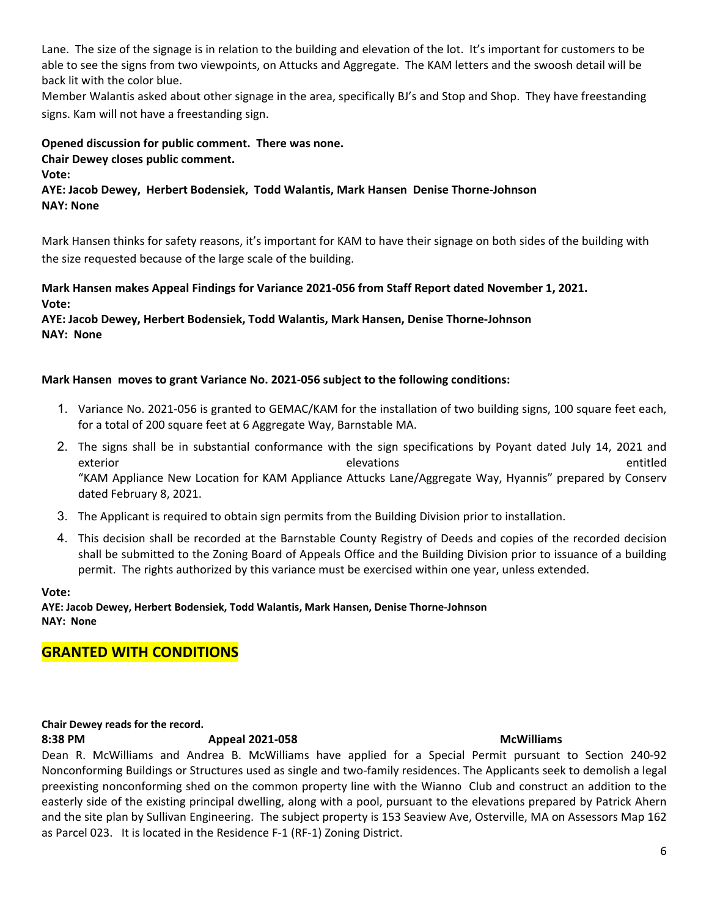Lane. The size of the signage is in relation to the building and elevation of the lot. It's important for customers to be able to see the signs from two viewpoints, on Attucks and Aggregate. The KAM letters and the swoosh detail will be back lit with the color blue.

Member Walantis asked about other signage in the area, specifically BJ's and Stop and Shop. They have freestanding signs. Kam will not have a freestanding sign.

**Opened discussion for public comment. There was none. Chair Dewey closes public comment.** 

**Vote:** 

**AYE: Jacob Dewey, Herbert Bodensiek, Todd Walantis, Mark Hansen Denise Thorne-Johnson NAY: None** 

Mark Hansen thinks for safety reasons, it's important for KAM to have their signage on both sides of the building with the size requested because of the large scale of the building.

# **Mark Hansen makes Appeal Findings for Variance 2021-056 from Staff Report dated November 1, 2021. Vote:**

## **AYE: Jacob Dewey, Herbert Bodensiek, Todd Walantis, Mark Hansen, Denise Thorne-Johnson NAY: None**

## **Mark Hansen moves to grant Variance No. 2021-056 subject to the following conditions:**

- 1. Variance No. 2021-056 is granted to GEMAC/KAM for the installation of two building signs, 100 square feet each, for a total of 200 square feet at 6 Aggregate Way, Barnstable MA.
- 2. The signs shall be in substantial conformance with the sign specifications by Poyant dated July 14, 2021 and exterior entitled exterior elevations entitled "KAM Appliance New Location for KAM Appliance Attucks Lane/Aggregate Way, Hyannis" prepared by Conserv dated February 8, 2021.
- 3. The Applicant is required to obtain sign permits from the Building Division prior to installation.
- 4. This decision shall be recorded at the Barnstable County Registry of Deeds and copies of the recorded decision shall be submitted to the Zoning Board of Appeals Office and the Building Division prior to issuance of a building permit. The rights authorized by this variance must be exercised within one year, unless extended.

**Vote:** 

**AYE: Jacob Dewey, Herbert Bodensiek, Todd Walantis, Mark Hansen, Denise Thorne-Johnson NAY: None** 

# **GRANTED WITH CONDITIONS**

## **Chair Dewey reads for the record.**

**8:38 PM Appeal 2021-058 McWilliams**

Dean R. McWilliams and Andrea B. McWilliams have applied for a Special Permit pursuant to Section 240-92 Nonconforming Buildings or Structures used as single and two-family residences. The Applicants seek to demolish a legal preexisting nonconforming shed on the common property line with the Wianno Club and construct an addition to the easterly side of the existing principal dwelling, along with a pool, pursuant to the elevations prepared by Patrick Ahern and the site plan by Sullivan Engineering. The subject property is 153 Seaview Ave, Osterville, MA on Assessors Map 162 as Parcel 023. It is located in the Residence F-1 (RF-1) Zoning District.

6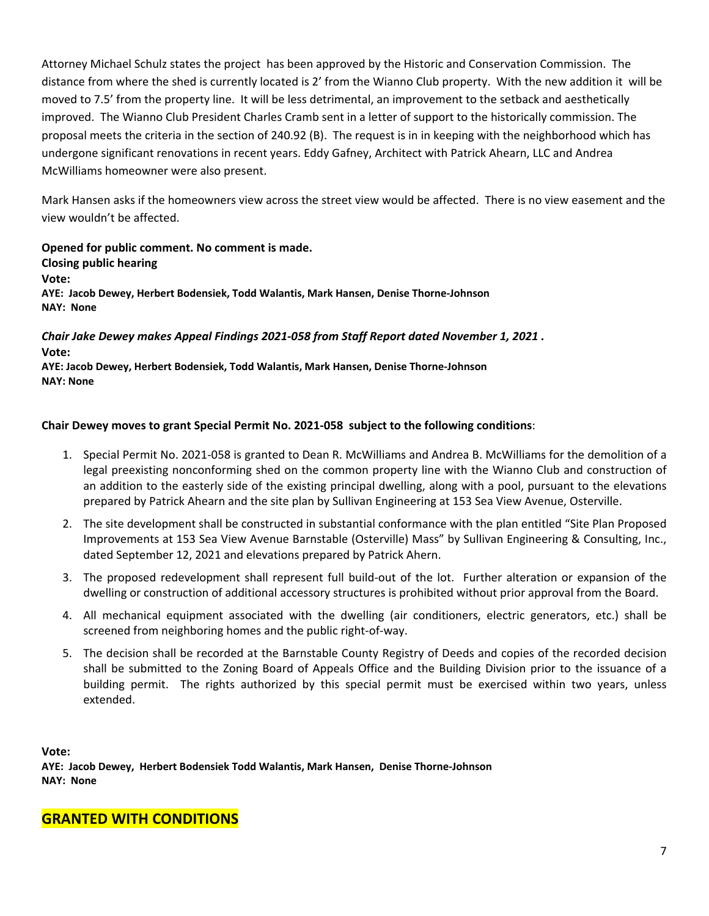Attorney Michael Schulz states the project has been approved by the Historic and Conservation Commission. The distance from where the shed is currently located is 2' from the Wianno Club property. With the new addition it will be moved to 7.5' from the property line. It will be less detrimental, an improvement to the setback and aesthetically improved. The Wianno Club President Charles Cramb sent in a letter of support to the historically commission. The proposal meets the criteria in the section of 240.92 (B). The request is in in keeping with the neighborhood which has undergone significant renovations in recent years. Eddy Gafney, Architect with Patrick Ahearn, LLC and Andrea McWilliams homeowner were also present.

Mark Hansen asks if the homeowners view across the street view would be affected. There is no view easement and the view wouldn't be affected.

**Opened for public comment. No comment is made. Closing public hearing Vote: AYE: Jacob Dewey, Herbert Bodensiek, Todd Walantis, Mark Hansen, Denise Thorne-Johnson NAY: None** 

*Chair Jake Dewey makes Appeal Findings 2021-058 from Staff Report dated November 1, 2021 .*  **Vote: AYE: Jacob Dewey, Herbert Bodensiek, Todd Walantis, Mark Hansen, Denise Thorne-Johnson** 

**NAY: None** 

## **Chair Dewey moves to grant Special Permit No. 2021-058 subject to the following conditions**:

- 1. Special Permit No. 2021-058 is granted to Dean R. McWilliams and Andrea B. McWilliams for the demolition of a legal preexisting nonconforming shed on the common property line with the Wianno Club and construction of an addition to the easterly side of the existing principal dwelling, along with a pool, pursuant to the elevations prepared by Patrick Ahearn and the site plan by Sullivan Engineering at 153 Sea View Avenue, Osterville.
- 2. The site development shall be constructed in substantial conformance with the plan entitled "Site Plan Proposed Improvements at 153 Sea View Avenue Barnstable (Osterville) Mass" by Sullivan Engineering & Consulting, Inc., dated September 12, 2021 and elevations prepared by Patrick Ahern.
- 3. The proposed redevelopment shall represent full build-out of the lot. Further alteration or expansion of the dwelling or construction of additional accessory structures is prohibited without prior approval from the Board.
- 4. All mechanical equipment associated with the dwelling (air conditioners, electric generators, etc.) shall be screened from neighboring homes and the public right-of-way.
- 5. The decision shall be recorded at the Barnstable County Registry of Deeds and copies of the recorded decision shall be submitted to the Zoning Board of Appeals Office and the Building Division prior to the issuance of a building permit. The rights authorized by this special permit must be exercised within two years, unless extended.

**Vote: AYE: Jacob Dewey, Herbert Bodensiek Todd Walantis, Mark Hansen, Denise Thorne-Johnson NAY: None** 

# **GRANTED WITH CONDITIONS**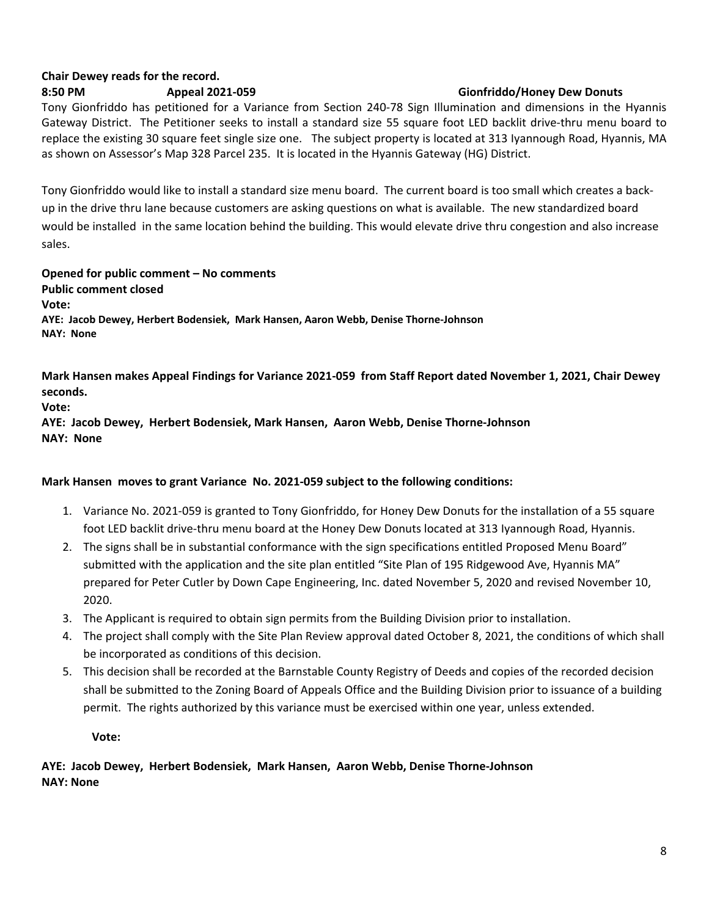# **Chair Dewey reads for the record.**

## **8:50 PM Appeal 2021-059 Gionfriddo/Honey Dew Donuts**

# Tony Gionfriddo has petitioned for a Variance from Section 240-78 Sign Illumination and dimensions in the Hyannis Gateway District. The Petitioner seeks to install a standard size 55 square foot LED backlit drive-thru menu board to replace the existing 30 square feet single size one. The subject property is located at 313 Iyannough Road, Hyannis, MA as shown on Assessor's Map 328 Parcel 235. It is located in the Hyannis Gateway (HG) District.

Tony Gionfriddo would like to install a standard size menu board. The current board is too small which creates a backup in the drive thru lane because customers are asking questions on what is available. The new standardized board would be installed in the same location behind the building. This would elevate drive thru congestion and also increase sales.

**Opened for public comment – No comments Public comment closed Vote: AYE: Jacob Dewey, Herbert Bodensiek, Mark Hansen, Aaron Webb, Denise Thorne-Johnson NAY: None** 

**Mark Hansen makes Appeal Findings for Variance 2021-059 from Staff Report dated November 1, 2021, Chair Dewey seconds.** 

**Vote:** 

**AYE: Jacob Dewey, Herbert Bodensiek, Mark Hansen, Aaron Webb, Denise Thorne-Johnson NAY: None** 

## **Mark Hansen moves to grant Variance No. 2021-059 subject to the following conditions:**

- 1. Variance No. 2021-059 is granted to Tony Gionfriddo, for Honey Dew Donuts for the installation of a 55 square foot LED backlit drive-thru menu board at the Honey Dew Donuts located at 313 Iyannough Road, Hyannis.
- 2. The signs shall be in substantial conformance with the sign specifications entitled Proposed Menu Board" submitted with the application and the site plan entitled "Site Plan of 195 Ridgewood Ave, Hyannis MA" prepared for Peter Cutler by Down Cape Engineering, Inc. dated November 5, 2020 and revised November 10, 2020.
- 3. The Applicant is required to obtain sign permits from the Building Division prior to installation.
- 4. The project shall comply with the Site Plan Review approval dated October 8, 2021, the conditions of which shall be incorporated as conditions of this decision.
- 5. This decision shall be recorded at the Barnstable County Registry of Deeds and copies of the recorded decision shall be submitted to the Zoning Board of Appeals Office and the Building Division prior to issuance of a building permit. The rights authorized by this variance must be exercised within one year, unless extended.

**Vote:** 

**AYE: Jacob Dewey, Herbert Bodensiek, Mark Hansen, Aaron Webb, Denise Thorne-Johnson NAY: None**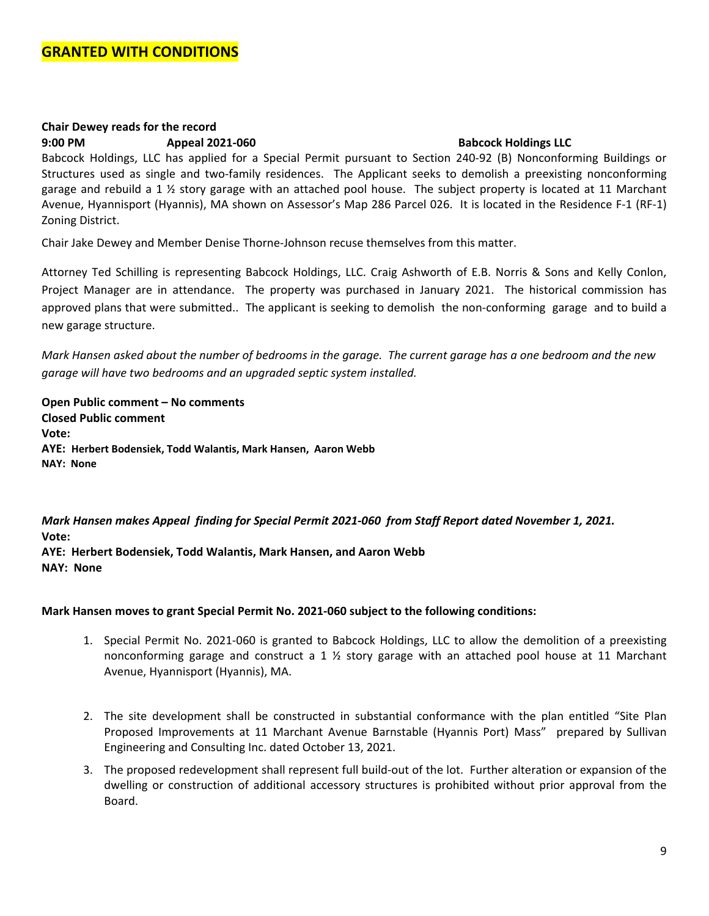## **Chair Dewey reads for the record 9:00 PM Appeal 2021-060 Babcock Holdings LLC**

Babcock Holdings, LLC has applied for a Special Permit pursuant to Section 240-92 (B) Nonconforming Buildings or Structures used as single and two-family residences. The Applicant seeks to demolish a preexisting nonconforming garage and rebuild a 1 ½ story garage with an attached pool house. The subject property is located at 11 Marchant Avenue, Hyannisport (Hyannis), MA shown on Assessor's Map 286 Parcel 026. It is located in the Residence F-1 (RF-1) Zoning District.

Chair Jake Dewey and Member Denise Thorne-Johnson recuse themselves from this matter.

Attorney Ted Schilling is representing Babcock Holdings, LLC. Craig Ashworth of E.B. Norris & Sons and Kelly Conlon, Project Manager are in attendance. The property was purchased in January 2021. The historical commission has approved plans that were submitted.. The applicant is seeking to demolish the non-conforming garage and to build a new garage structure.

*Mark Hansen asked about the number of bedrooms in the garage. The current garage has a one bedroom and the new garage will have two bedrooms and an upgraded septic system installed.* 

**Open Public comment – No comments Closed Public comment Vote: AYE: Herbert Bodensiek, Todd Walantis, Mark Hansen, Aaron Webb NAY: None** 

*Mark Hansen makes Appeal finding for Special Permit 2021-060 from Staff Report dated November 1, 2021.*  **Vote: AYE: Herbert Bodensiek, Todd Walantis, Mark Hansen, and Aaron Webb** 

**NAY: None** 

## **Mark Hansen moves to grant Special Permit No. 2021-060 subject to the following conditions:**

- 1. Special Permit No. 2021-060 is granted to Babcock Holdings, LLC to allow the demolition of a preexisting nonconforming garage and construct a 1  $\frac{1}{2}$  story garage with an attached pool house at 11 Marchant Avenue, Hyannisport (Hyannis), MA.
- 2. The site development shall be constructed in substantial conformance with the plan entitled "Site Plan Proposed Improvements at 11 Marchant Avenue Barnstable (Hyannis Port) Mass" prepared by Sullivan Engineering and Consulting Inc. dated October 13, 2021.
- 3. The proposed redevelopment shall represent full build-out of the lot. Further alteration or expansion of the dwelling or construction of additional accessory structures is prohibited without prior approval from the Board.